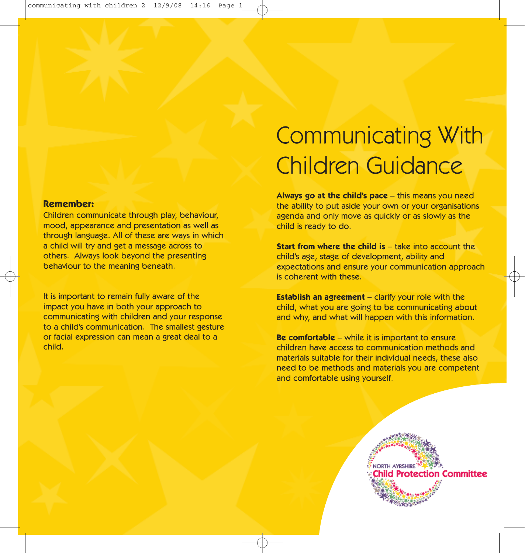## **Remember:**

Children communicate through play, behaviour, mood, appearance and presentation as well as through language. All of these are ways in which a child will try and get a message across to others. Always look beyond the presenting behaviour to the meaning beneath.

It is important to remain fully aware of the impact you have in both your approach to communicating with children and your response to a child's communication. The smallest gesture or facial expression can mean a great deal to a child.

## Communicating With Children Guidance

**Always go at the child's pace** – this means you need the ability to put aside your own or your organisations agenda and only move as quickly or as slowly as the child is ready to do.

**Start from where the child is** – take into account the child's age, stage of development, ability and expectations and ensure your communication approach is coherent with these.

**Establish an agreement** – clarify your role with the child, what you are going to be communicating about and why, and what will happen with this information.

**Be comfortable** – while it is important to ensure children have access to communication methods and materials suitable for their individual needs, these also need to be methods and materials you are competent and comfortable using yourself.

> **NORTH AYRSHIRE** iild Protection Committee